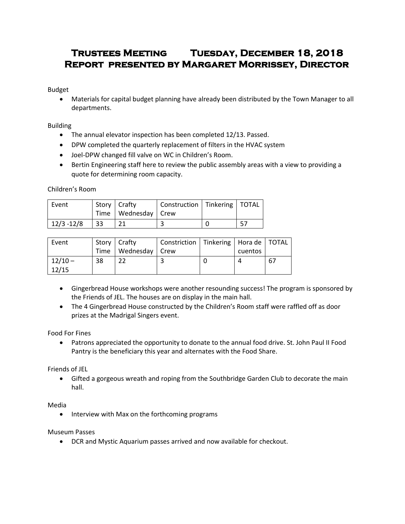# **Trustees Meeting Tuesday, December 18, 2018 Report presented by Margaret Morrissey, Director**

Budget

 Materials for capital budget planning have already been distributed by the Town Manager to all departments.

Building

- The annual elevator inspection has been completed 12/13. Passed.
- DPW completed the quarterly replacement of filters in the HVAC system
- Joel-DPW changed fill valve on WC in Children's Room.
- Bertin Engineering staff here to review the public assembly areas with a view to providing a quote for determining room capacity.

Children's Room

| Event         |    | Story   Crafty<br>Time   Wednesday   Crew | Construction   Tinkering   TOTAL |  |
|---------------|----|-------------------------------------------|----------------------------------|--|
| $12/3 - 12/8$ | 33 |                                           |                                  |  |

| Event              |    | Story   Crafty          | Constriction   Tinkering   Hora de   TOTAL |         |     |
|--------------------|----|-------------------------|--------------------------------------------|---------|-----|
|                    |    | Time   Wednesday   Crew |                                            | cuentos |     |
| $12/10 -$<br>12/15 | 38 |                         |                                            |         | -67 |

- Gingerbread House workshops were another resounding success! The program is sponsored by the Friends of JEL. The houses are on display in the main hall.
- The 4 Gingerbread House constructed by the Children's Room staff were raffled off as door prizes at the Madrigal Singers event.

Food For Fines

 Patrons appreciated the opportunity to donate to the annual food drive. St. John Paul II Food Pantry is the beneficiary this year and alternates with the Food Share.

Friends of JEL

 Gifted a gorgeous wreath and roping from the Southbridge Garden Club to decorate the main hall.

Media

• Interview with Max on the forthcoming programs

Museum Passes

DCR and Mystic Aquarium passes arrived and now available for checkout.